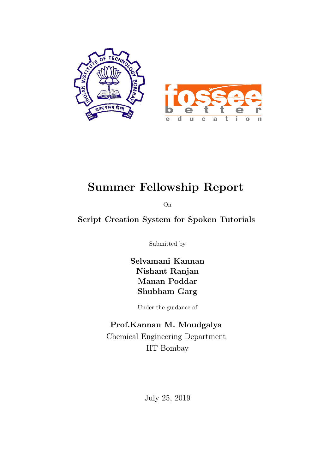

# Summer Fellowship Report

On

Script Creation System for Spoken Tutorials

Submitted by

Selvamani Kannan Nishant Ranjan Manan Poddar Shubham Garg

Under the guidance of

### Prof.Kannan M. Moudgalya

Chemical Engineering Department IIT Bombay

July 25, 2019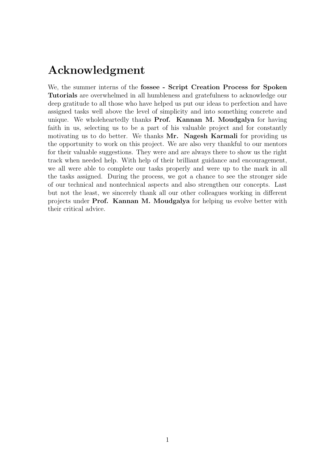# Acknowledgment

We, the summer interns of the fossee - Script Creation Process for Spoken Tutorials are overwhelmed in all humbleness and gratefulness to acknowledge our deep gratitude to all those who have helped us put our ideas to perfection and have assigned tasks well above the level of simplicity and into something concrete and unique. We wholeheartedly thanks Prof. Kannan M. Moudgalya for having faith in us, selecting us to be a part of his valuable project and for constantly motivating us to do better. We thanks Mr. Nagesh Karmali for providing us the opportunity to work on this project. We are also very thankful to our mentors for their valuable suggestions. They were and are always there to show us the right track when needed help. With help of their brilliant guidance and encouragement, we all were able to complete our tasks properly and were up to the mark in all the tasks assigned. During the process, we got a chance to see the stronger side of our technical and nontechnical aspects and also strengthen our concepts. Last but not the least, we sincerely thank all our other colleagues working in different projects under Prof. Kannan M. Moudgalya for helping us evolve better with their critical advice.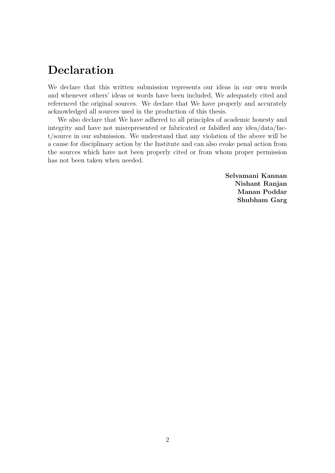# Declaration

We declare that this written submission represents our ideas in our own words and whenever others' ideas or words have been included, We adequately cited and referenced the original sources. We declare that We have properly and accurately acknowledged all sources used in the production of this thesis.

We also declare that We have adhered to all principles of academic honesty and integrity and have not misrepresented or fabricated or falsified any idea/data/fact/source in our submission. We understand that any violation of the above will be a cause for disciplinary action by the Institute and can also evoke penal action from the sources which have not been properly cited or from whom proper permission has not been taken when needed.

> Selvamani Kannan Nishant Ranjan Manan Poddar Shubham Garg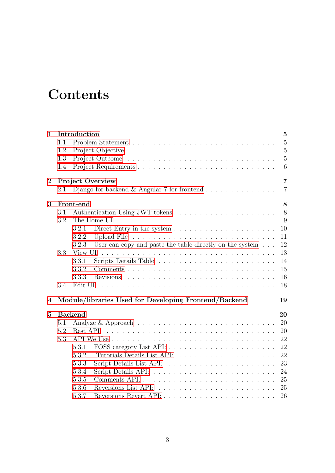# **Contents**

| $\mathbf{1}$ |     | Introduction                                                               | $\bf{5}$       |  |  |  |  |  |
|--------------|-----|----------------------------------------------------------------------------|----------------|--|--|--|--|--|
|              | 1.1 |                                                                            | $\overline{5}$ |  |  |  |  |  |
|              | 1.2 |                                                                            | $\overline{5}$ |  |  |  |  |  |
|              | 1.3 |                                                                            | $\overline{5}$ |  |  |  |  |  |
|              | 1.4 |                                                                            | 6              |  |  |  |  |  |
| $\bf{2}$     |     | <b>Project Overview</b>                                                    | $\overline{7}$ |  |  |  |  |  |
|              | 2.1 |                                                                            | $\overline{7}$ |  |  |  |  |  |
| 3            |     | Front-end                                                                  | 8              |  |  |  |  |  |
|              | 3.1 |                                                                            | 8              |  |  |  |  |  |
|              | 3.2 |                                                                            | 9              |  |  |  |  |  |
|              |     | 3.2.1                                                                      | 10             |  |  |  |  |  |
|              |     | 3.2.2                                                                      | 11             |  |  |  |  |  |
|              |     | User can copy and paste the table directly on the system $\ldots$<br>3.2.3 | 12             |  |  |  |  |  |
|              | 3.3 | View UI                                                                    | 13             |  |  |  |  |  |
|              |     | 3.3.1                                                                      | 14             |  |  |  |  |  |
|              |     | 3.3.2                                                                      | 15             |  |  |  |  |  |
|              |     | 3.3.3                                                                      | 16             |  |  |  |  |  |
|              | 3.4 | Edit UI                                                                    | 18             |  |  |  |  |  |
| 4            |     | Module/libraries Used for Developing Frontend/Backend                      | 19             |  |  |  |  |  |
| $\bf{5}$     |     | <b>Backend</b>                                                             | 20             |  |  |  |  |  |
|              | 5.1 |                                                                            | 20             |  |  |  |  |  |
|              | 5.2 |                                                                            | 20             |  |  |  |  |  |
|              | 5.3 |                                                                            |                |  |  |  |  |  |
|              |     | 5.3.1                                                                      | 22             |  |  |  |  |  |
|              |     | 5.3.2                                                                      | 22             |  |  |  |  |  |
|              |     | 5.3.3                                                                      | 23             |  |  |  |  |  |
|              |     | 5.3.4                                                                      | 24             |  |  |  |  |  |
|              |     | 5.3.5                                                                      | 25             |  |  |  |  |  |
|              |     | 5.3.6                                                                      | 25             |  |  |  |  |  |
|              |     | 5.3.7                                                                      | 26             |  |  |  |  |  |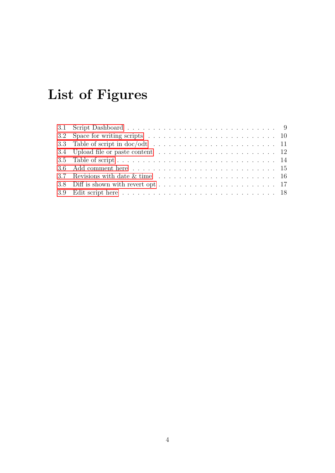# List of Figures

| 3.2 Space for writing scripts $\ldots \ldots \ldots \ldots \ldots \ldots \ldots \ldots \ldots \ldots \ldots$ |  |  |  |  |  |  |  |  |  |  |  |
|--------------------------------------------------------------------------------------------------------------|--|--|--|--|--|--|--|--|--|--|--|
| 3.3 Table of script in doc/odt $\ldots \ldots \ldots \ldots \ldots \ldots \ldots \ldots \ldots 11$           |  |  |  |  |  |  |  |  |  |  |  |
| 3.4 Upload file or paste content $\ldots \ldots \ldots \ldots \ldots \ldots \ldots \ldots 12$                |  |  |  |  |  |  |  |  |  |  |  |
|                                                                                                              |  |  |  |  |  |  |  |  |  |  |  |
|                                                                                                              |  |  |  |  |  |  |  |  |  |  |  |
|                                                                                                              |  |  |  |  |  |  |  |  |  |  |  |
|                                                                                                              |  |  |  |  |  |  |  |  |  |  |  |
|                                                                                                              |  |  |  |  |  |  |  |  |  |  |  |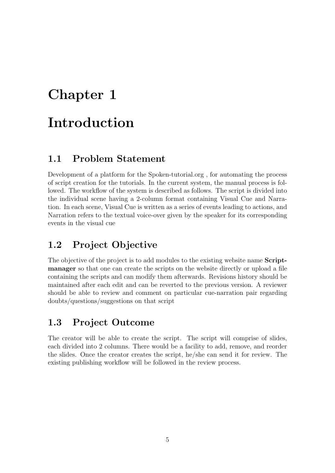# <span id="page-5-0"></span>Chapter 1

# Introduction

### <span id="page-5-1"></span>1.1 Problem Statement

Development of a platform for the Spoken-tutorial.org , for automating the process of script creation for the tutorials. In the current system, the manual process is followed. The workflow of the system is described as follows. The script is divided into the individual scene having a 2-column format containing Visual Cue and Narration. In each scene, Visual Cue is written as a series of events leading to actions, and Narration refers to the textual voice-over given by the speaker for its corresponding events in the visual cue

### <span id="page-5-2"></span>1.2 Project Objective

The objective of the project is to add modules to the existing website name Scriptmanager so that one can create the scripts on the website directly or upload a file containing the scripts and can modify them afterwards. Revisions history should be maintained after each edit and can be reverted to the previous version. A reviewer should be able to review and comment on particular cue-narration pair regarding doubts/questions/suggestions on that script

### <span id="page-5-3"></span>1.3 Project Outcome

The creator will be able to create the script. The script will comprise of slides, each divided into 2 columns. There would be a facility to add, remove, and reorder the slides. Once the creator creates the script, he/she can send it for review. The existing publishing workflow will be followed in the review process.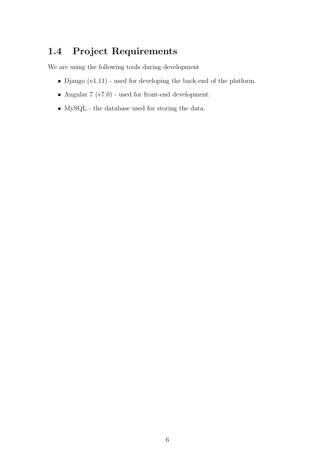# <span id="page-6-0"></span>1.4 Project Requirements

We are using the following tools during development

- Django (v1.11) used for developing the back-end of the platform.
- Angular 7 (v7.0) used for front-end development.
- MySQL the database used for storing the data.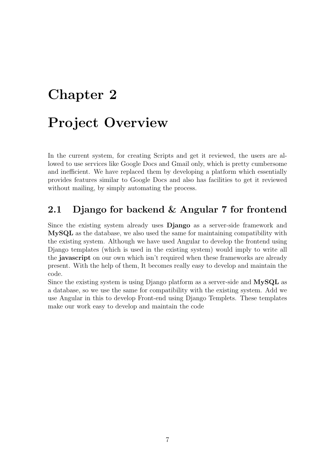# <span id="page-7-0"></span>Chapter 2

# Project Overview

In the current system, for creating Scripts and get it reviewed, the users are allowed to use services like Google Docs and Gmail only, which is pretty cumbersome and inefficient. We have replaced them by developing a platform which essentially provides features similar to Google Docs and also has facilities to get it reviewed without mailing, by simply automating the process.

### <span id="page-7-1"></span>2.1 Django for backend & Angular 7 for frontend

Since the existing system already uses Django as a server-side framework and MySQL as the database, we also used the same for maintaining compatibility with the existing system. Although we have used Angular to develop the frontend using Django templates (which is used in the existing system) would imply to write all the javascript on our own which isn't required when these frameworks are already present. With the help of them, It becomes really easy to develop and maintain the code.

Since the existing system is using Django platform as a server-side and MySQL as a database, so we use the same for compatibility with the existing system. Add we use Angular in this to develop Front-end using Django Templets. These templates make our work easy to develop and maintain the code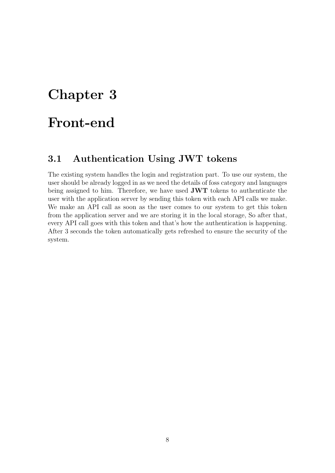# <span id="page-8-0"></span>Chapter 3

# Front-end

### <span id="page-8-1"></span>3.1 Authentication Using JWT tokens

The existing system handles the login and registration part. To use our system, the user should be already logged in as we need the details of foss category and languages being assigned to him. Therefore, we have used JWT tokens to authenticate the user with the application server by sending this token with each API calls we make. We make an API call as soon as the user comes to our system to get this token from the application server and we are storing it in the local storage, So after that, every API call goes with this token and that's how the authentication is happening. After 3 seconds the token automatically gets refreshed to ensure the security of the system.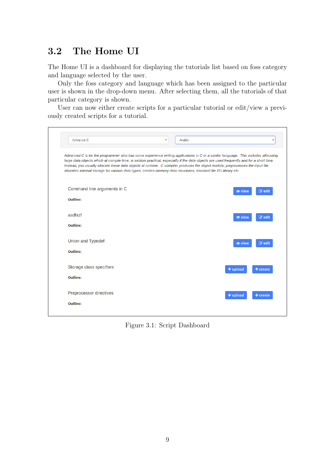## <span id="page-9-0"></span>3.2 The Home UI

The Home UI is a dashboard for displaying the tutorials list based on foss category and language selected by the user.

Only the foss category and language which has been assigned to the particular user is shown in the drop-down menu. After selecting them, all the tutorials of that particular category is shown.

User can now either create scripts for a particular tutorial or edit/view a previously created scripts for a tutorial.

<span id="page-9-1"></span>

| Advance C                   | Arabic<br>$\overline{\mathbf{v}}$                                                                                 |                                                                                                                                                                                                                                                                                                                                                                                                                   |
|-----------------------------|-------------------------------------------------------------------------------------------------------------------|-------------------------------------------------------------------------------------------------------------------------------------------------------------------------------------------------------------------------------------------------------------------------------------------------------------------------------------------------------------------------------------------------------------------|
|                             | allocates internal storage for various data-types, creates memory data-structures, standard file I/O library etc. | Advanced C is for the programmer who has some experience writing applications in C or a similar language. This includes allocating<br>large data objects which at compile time, is seldom practical, especially if the data objects are used frequently and for a short time.<br>Instead, you usually allocate these data objects at runtime. C compiler produces the object module, preprocesses the input file, |
| Command line arguments in C |                                                                                                                   | $\mathbb Z$ edit                                                                                                                                                                                                                                                                                                                                                                                                  |
| Outline:                    |                                                                                                                   |                                                                                                                                                                                                                                                                                                                                                                                                                   |
| asdfxzf                     |                                                                                                                   | $\mathbb Z$ edit                                                                                                                                                                                                                                                                                                                                                                                                  |
| Outline:                    |                                                                                                                   |                                                                                                                                                                                                                                                                                                                                                                                                                   |
| <b>Union and Typedef</b>    |                                                                                                                   | $\mathbb Z$ edit                                                                                                                                                                                                                                                                                                                                                                                                  |
| <b>Outline:</b>             |                                                                                                                   |                                                                                                                                                                                                                                                                                                                                                                                                                   |
| Storage class specifiers    |                                                                                                                   | $+$ upload<br>+ create                                                                                                                                                                                                                                                                                                                                                                                            |
| <b>Outline:</b>             |                                                                                                                   |                                                                                                                                                                                                                                                                                                                                                                                                                   |
| Preprocessor directives     |                                                                                                                   | $+$ upload<br>$+$ create                                                                                                                                                                                                                                                                                                                                                                                          |
| Outline:                    |                                                                                                                   |                                                                                                                                                                                                                                                                                                                                                                                                                   |

Figure 3.1: Script Dashboard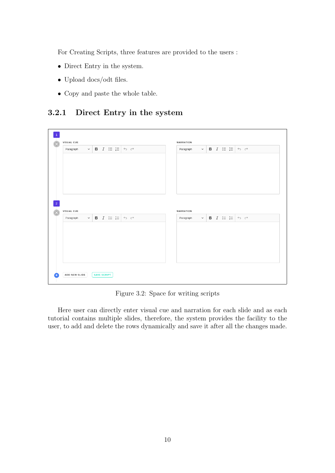For Creating Scripts, three features are provided to the users :

- Direct Entry in the system.
- Upload docs/odt files.
- Copy and paste the whole table.

#### <span id="page-10-0"></span>3.2.1 Direct Entry in the system

<span id="page-10-1"></span>

|                   |                                                                           |  |                                     |  | NARRATION        |              |                                       |  |                                                            |  |
|-------------------|---------------------------------------------------------------------------|--|-------------------------------------|--|------------------|--------------|---------------------------------------|--|------------------------------------------------------------|--|
| Paragraph         | $\vee$ <b>B</b> $I \cong \frac{1}{2}$ $\leftrightarrow$ $\leftrightarrow$ |  |                                     |  | Paragraph        | $\checkmark$ |                                       |  | <b>B</b> $I \cong \frac{1}{2}$ $\Rightarrow$ $\Rightarrow$ |  |
|                   |                                                                           |  |                                     |  |                  |              |                                       |  |                                                            |  |
|                   |                                                                           |  |                                     |  |                  |              |                                       |  |                                                            |  |
|                   |                                                                           |  |                                     |  |                  |              |                                       |  |                                                            |  |
|                   |                                                                           |  |                                     |  |                  |              |                                       |  |                                                            |  |
|                   |                                                                           |  |                                     |  |                  |              |                                       |  |                                                            |  |
| <b>VISUAL CUE</b> |                                                                           |  |                                     |  | <b>NARRATION</b> |              |                                       |  |                                                            |  |
| Paragraph         | $\vee$ <b>B</b> $I \coloneqq \frac{1}{2}$                                 |  | $\leftrightarrow$ $\leftrightarrow$ |  | Paragraph        |              | $\vee$ <b>B</b> $I \cong \frac{1}{2}$ |  | $\leftrightarrow$ $\leftrightarrow$                        |  |
|                   |                                                                           |  |                                     |  |                  |              |                                       |  |                                                            |  |
|                   |                                                                           |  |                                     |  |                  |              |                                       |  |                                                            |  |
|                   |                                                                           |  |                                     |  |                  |              |                                       |  |                                                            |  |
|                   |                                                                           |  |                                     |  |                  |              |                                       |  |                                                            |  |
|                   |                                                                           |  |                                     |  |                  |              |                                       |  |                                                            |  |
|                   |                                                                           |  |                                     |  |                  |              |                                       |  |                                                            |  |

Figure 3.2: Space for writing scripts

Here user can directly enter visual cue and narration for each slide and as each tutorial contains multiple slides, therefore, the system provides the facility to the user, to add and delete the rows dynamically and save it after all the changes made.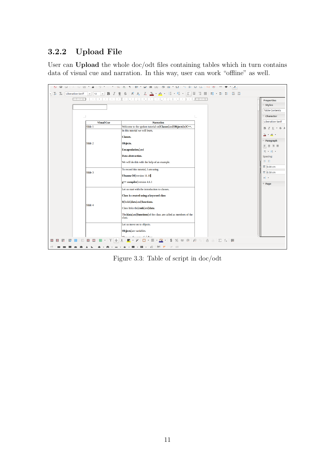### <span id="page-11-0"></span>3.2.2 Upload File

User can Upload the whole doc/odt files containing tables which in turn contains data of visual cue and narration. In this way, user can work "offline" as well.

<span id="page-11-1"></span>

Figure 3.3: Table of script in doc/odt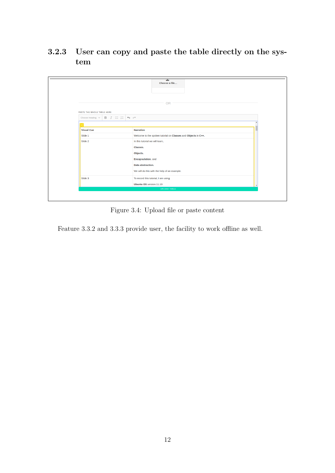### <span id="page-12-0"></span>3.2.3 User can copy and paste the table directly on the system

<span id="page-12-1"></span>

|                                                       | also<br>Choose a file                                         |  |  |  |  |
|-------------------------------------------------------|---------------------------------------------------------------|--|--|--|--|
|                                                       | <b>OR</b>                                                     |  |  |  |  |
| PASTE THE WHOLE TABLE HERE                            |                                                               |  |  |  |  |
| $B$ $I \cong I \cong \infty$<br>Choose heading $\sim$ |                                                               |  |  |  |  |
|                                                       |                                                               |  |  |  |  |
| <b>Visual Cue</b>                                     | <b>Narration</b>                                              |  |  |  |  |
| Slide 1                                               | Welcome to the spoken tutorial on Classes and Objects in C++. |  |  |  |  |
| Slide 2                                               | In this tutorial we will learn,                               |  |  |  |  |
|                                                       | Classes.                                                      |  |  |  |  |
|                                                       | Objects.                                                      |  |  |  |  |
|                                                       | <b>Encapsulation.</b> and                                     |  |  |  |  |
|                                                       | Data abstraction.                                             |  |  |  |  |
|                                                       | We will do this with the help of an example.                  |  |  |  |  |
| Slide 3                                               | To record this tutorial, I am using                           |  |  |  |  |
|                                                       | Ubuntu OS version 11.10                                       |  |  |  |  |
|                                                       | UPLOAD TABLE                                                  |  |  |  |  |

Figure 3.4: Upload file or paste content

Feature 3.3.2 and 3.3.3 provide user, the facility to work offline as well.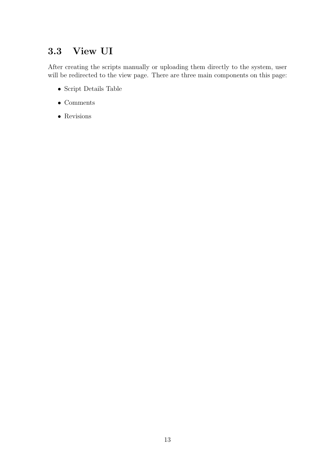# <span id="page-13-0"></span>3.3 View UI

After creating the scripts manually or uploading them directly to the system, user will be redirected to the view page. There are three main components on this page:

- Script Details Table
- Comments
- Revisions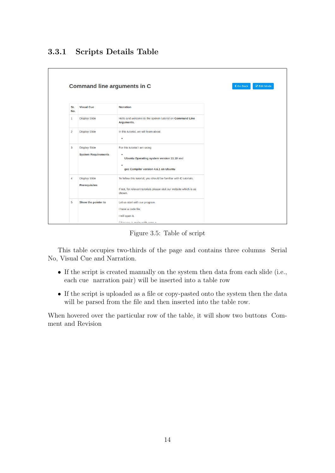<span id="page-14-1"></span><span id="page-14-0"></span>

|                | <b>Command line arguments in C</b> |                                                                               | <b>Z</b> Edit Mode<br><b>く Go Back</b> |  |
|----------------|------------------------------------|-------------------------------------------------------------------------------|----------------------------------------|--|
|                |                                    |                                                                               |                                        |  |
| Sr.<br>No.     | <b>Visual Cue</b>                  | <b>Narration</b>                                                              |                                        |  |
| 1              | <b>Display Slide</b>               | Hello and welcome to the spoken tutorial on Command Line<br>Arguments.        |                                        |  |
| $\overline{2}$ | <b>Display Slide</b>               | In this tutorial, we will learn about<br>$\bullet$                            |                                        |  |
| 3              | <b>Display Slide</b>               | For this tutorial I am using                                                  |                                        |  |
|                | <b>System Requirements</b>         | Ubuntu Operating system version 11.10 and                                     |                                        |  |
|                |                                    | $\bullet$<br>gcc Compiler version 4.6.1 on Ubuntu                             |                                        |  |
| 4              | <b>Display Slide</b>               | To follow this tutorial, you should be familiar with C tutorials.             |                                        |  |
|                | <b>Prerequisites</b>               | If not, for relevant tutorials please visit our website which is as<br>shown. |                                        |  |
| 5              | Show the pointer to                | Let us start with our program.                                                |                                        |  |
|                |                                    | I have a code file.                                                           |                                        |  |
|                |                                    | I will open it.                                                               |                                        |  |
|                |                                    | Filonomo je majn with arge o                                                  |                                        |  |

Figure 3.5: Table of script

This table occupies two-thirds of the page and contains three columns Serial No, Visual Cue and Narration.

- If the script is created manually on the system then data from each slide (i.e., each cue narration pair) will be inserted into a table row
- If the script is uploaded as a file or copy-pasted onto the system then the data will be parsed from the file and then inserted into the table row.

When hovered over the particular row of the table, it will show two buttons Comment and Revision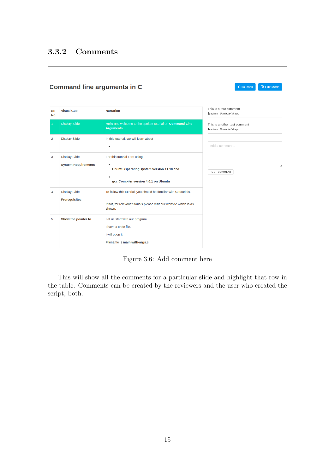### <span id="page-15-0"></span>3.3.2 Comments

<span id="page-15-1"></span>

| <b>Command line arguments in C</b><br><b>くGo Back</b><br><b>Z</b> Edit Mode |                                                    |                                                                                                                                                    |                                                           |  |  |  |  |  |  |  |
|-----------------------------------------------------------------------------|----------------------------------------------------|----------------------------------------------------------------------------------------------------------------------------------------------------|-----------------------------------------------------------|--|--|--|--|--|--|--|
| Sr.<br>No.                                                                  | <b>Visual Cue</b>                                  | <b>Narration</b>                                                                                                                                   | This is a test comment<br>& admin   0 minute(s) ago       |  |  |  |  |  |  |  |
| $\mathbf 1$                                                                 | <b>Display Slide</b>                               | Hello and welcome to the spoken tutorial on Command Line<br>Arguments.                                                                             | This is another test comment<br>& admin   0 minute(s) ago |  |  |  |  |  |  |  |
| $\overline{2}$                                                              | <b>Display Slide</b>                               | In this tutorial, we will learn about<br>$\bullet$                                                                                                 | Add a comment                                             |  |  |  |  |  |  |  |
| 3                                                                           | <b>Display Slide</b><br><b>System Requirements</b> | For this tutorial I am using<br>$\bullet$<br>Ubuntu Operating system version 11.10 and<br>gcc Compiler version 4.6.1 on Ubuntu                     | POST COMMENT                                              |  |  |  |  |  |  |  |
| $\overline{4}$                                                              | <b>Display Slide</b><br><b>Prerequisites</b>       | To follow this tutorial, you should be familiar with C tutorials.<br>If not, for relevant tutorials please visit our website which is as<br>shown. |                                                           |  |  |  |  |  |  |  |
| 5                                                                           | Show the pointer to                                | Let us start with our program.<br>I have a code file.<br>I will open it.<br>Filename is main-with-args.c                                           |                                                           |  |  |  |  |  |  |  |

Figure 3.6: Add comment here

This will show all the comments for a particular slide and highlight that row in the table. Comments can be created by the reviewers and the user who created the script, both.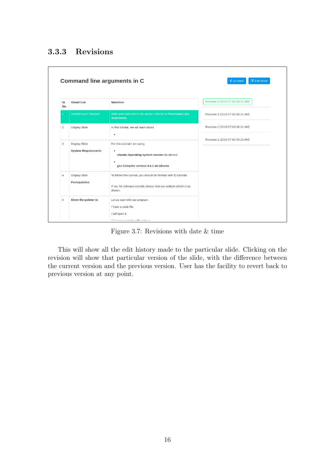### <span id="page-16-0"></span>3.3.3 Revisions

<span id="page-16-1"></span>

|                |                                                    | <b>Command line arguments in C</b>                                                                                                                 | <b>Z</b> Edit Mode<br>く Go Back  |
|----------------|----------------------------------------------------|----------------------------------------------------------------------------------------------------------------------------------------------------|----------------------------------|
| Sr.<br>No.     | <b>Visual Cue</b>                                  | <b>Narration</b>                                                                                                                                   | Revision 4 (2019-07-03 08:31 AM) |
| 1              | Something is changed                               | Hello and welcome to the spoken tutorial on Command Line<br>Arguments.                                                                             | Revision 3 (2019-07-03 08:31 AM) |
| $\overline{2}$ | <b>Display Slide</b>                               | In this tutorial, we will learn about<br>$\bullet$                                                                                                 | Revision 2 (2019-07-03 08:31 AM) |
| 3              | <b>Display Slide</b><br><b>System Requirements</b> | For this tutorial I am using<br>$\bullet$<br>Ubuntu Operating system version 11.10 and<br>gcc Compiler version 4.6.1 on Ubuntu                     | Revision 1 (2019-07-02 09:19 AM) |
| 4              | <b>Display Slide</b><br><b>Prerequisites</b>       | To follow this tutorial, you should be familiar with C tutorials.<br>If not, for relevant tutorials please visit our website which is as<br>shown. |                                  |
| 5              | Show the pointer to                                | Let us start with our program.<br>I have a code file.<br>I will open it.<br>Pilanama ia main mith anna a                                           |                                  |

Figure 3.7: Revisions with date & time

This will show all the edit history made to the particular slide. Clicking on the revision will show that particular version of the slide, with the difference between the current version and the previous version. User has the facility to revert back to previous version at any point.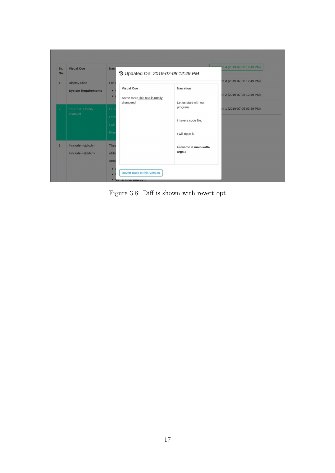<span id="page-17-0"></span>

Figure 3.8: Diff is shown with revert opt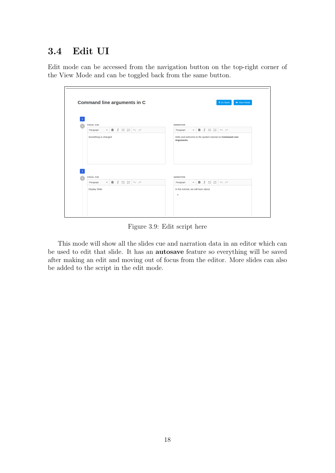### <span id="page-18-0"></span>3.4 Edit UI

Edit mode can be accessed from the navigation button on the top-right corner of the View Mode and can be toggled back from the same button.

<span id="page-18-1"></span>

| <b>VISUAL CUE</b>                              |                                                                    | <b>NARRATION</b>                                                                                  |
|------------------------------------------------|--------------------------------------------------------------------|---------------------------------------------------------------------------------------------------|
| $\checkmark$<br>Paragraph                      | $B$ $I := \frac{1}{2}$<br>$\leftrightarrow$                        | $\vee$ B I $\mathrel{\mathop:}= \mathrel{\mathop:}=$<br>$\leftrightarrow$<br>Paragraph            |
| Something is changed                           |                                                                    | Hello and welcome to the spoken tutorial on Command Line<br>Arguments.                            |
|                                                |                                                                    |                                                                                                   |
| <b>VISUAL CUE</b><br>Paragraph<br>$\checkmark$ | <b>B</b> $I := \frac{1}{2}$<br>$\leftrightarrow$ $\leftrightarrow$ | <b>NARRATION</b><br><b>B</b> $I \cong \mathbb{Z} \subset \mathbb{R}$<br>Paragraph<br>$\checkmark$ |

Figure 3.9: Edit script here

This mode will show all the slides cue and narration data in an editor which can be used to edit that slide. It has an autosave feature so everything will be saved after making an edit and moving out of focus from the editor. More slides can also be added to the script in the edit mode.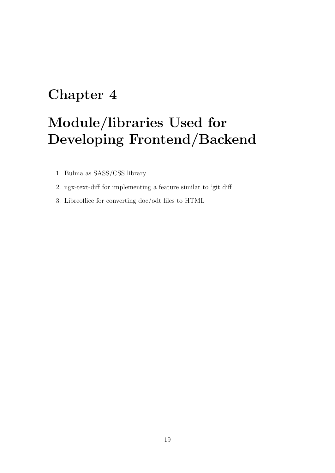# <span id="page-19-0"></span>Chapter 4

# Module/libraries Used for Developing Frontend/Backend

- 1. Bulma as SASS/CSS library
- 2. ngx-text-diff for implementing a feature similar to 'git diff
- 3. Libreoffice for converting doc/odt files to HTML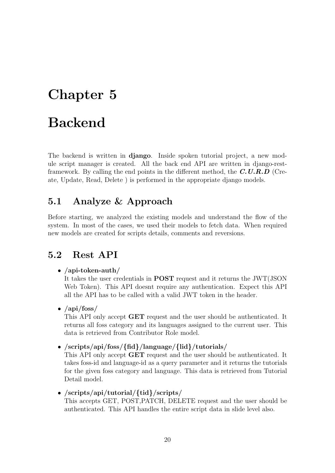# <span id="page-20-0"></span>Chapter 5

# Backend

The backend is written in django. Inside spoken tutorial project, a new module script manager is created. All the back end API are written in django-restframework. By calling the end points in the different method, the  $C.U.R.D$  (Create, Update, Read, Delete ) is performed in the appropriate django models.

### <span id="page-20-1"></span>5.1 Analyze & Approach

Before starting, we analyzed the existing models and understand the flow of the system. In most of the cases, we used their models to fetch data. When required new models are created for scripts details, comments and reversions.

### <span id="page-20-2"></span>5.2 Rest API

#### • /api-token-auth/

It takes the user credentials in POST request and it returns the JWT(JSON Web Token). This API doesnt require any authentication. Expect this API all the API has to be called with a valid JWT token in the header.

•  $\langle$ api $/$ foss $/$ 

This API only accept GET request and the user should be authenticated. It returns all foss category and its languages assigned to the current user. This data is retrieved from Contributor Role model.

#### • /scripts/api/foss/{fid}/language/{lid}/tutorials/

This API only accept GET request and the user should be authenticated. It takes foss-id and language-id as a query parameter and it returns the tutorials for the given foss category and language. This data is retrieved from Tutorial Detail model.

#### • /scripts/api/tutorial/{tid}/scripts/

This accepts GET, POST,PATCH, DELETE request and the user should be authenticated. This API handles the entire script data in slide level also.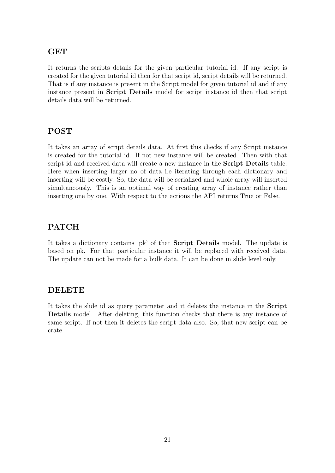#### GET

It returns the scripts details for the given particular tutorial id. If any script is created for the given tutorial id then for that script id, script details will be returned. That is if any instance is present in the Script model for given tutorial id and if any instance present in Script Details model for script instance id then that script details data will be returned.

### POST

It takes an array of script details data. At first this checks if any Script instance is created for the tutorial id. If not new instance will be created. Then with that script id and received data will create a new instance in the Script Details table. Here when inserting larger no of data i.e iterating through each dictionary and inserting will be costly. So, the data will be serialized and whole array will inserted simultaneously. This is an optimal way of creating array of instance rather than inserting one by one. With respect to the actions the API returns True or False.

### PATCH

It takes a dictionary contains 'pk' of that Script Details model. The update is based on pk. For that particular instance it will be replaced with received data. The update can not be made for a bulk data. It can be done in slide level only.

### DELETE

It takes the slide id as query parameter and it deletes the instance in the Script Details model. After deleting, this function checks that there is any instance of same script. If not then it deletes the script data also. So, that new script can be crate.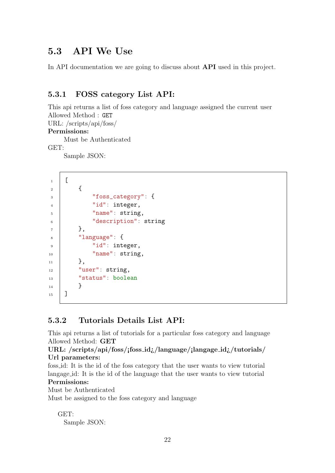### <span id="page-22-0"></span>5.3 API We Use

In API documentation we are going to discuss about **API** used in this project.

#### <span id="page-22-1"></span>5.3.1 FOSS category List API:

This api returns a list of foss category and language assigned the current user Allowed Method : GET URL: /scripts/api/foss/ Permissions:

Must be Authenticated

GET:

Sample JSON:

```
1 \mid [
\begin{array}{c|c} 2 & \end{array} \begin{array}{c} \end{array}3 "foss_category": {
4 "id": integer,
5 | "name": string,
6 CO "description": string
7 \mid \},
\vert "language": {
9 \vert "id": integer,
10 | "name": string,
_{11} },
\frac{1}{12} \parallel "user": string,
13 | "status": boolean
\begin{array}{c|c}\n 14 & \end{array} }
_{15} | ]
```
### <span id="page-22-2"></span>5.3.2 Tutorials Details List API:

This api returns a list of tutorials for a particular foss category and language Allowed Method: GET

#### URL: /scripts/api/foss/¡foss id¿/language/¡langage id¿/tutorials/ Url parameters:

foss id: It is the id of the foss category that the user wants to view tutorial langage id: It is the id of the language that the user wants to view tutorial Permissions:

Must be Authenticated

Must be assigned to the foss category and language

GET: Sample JSON: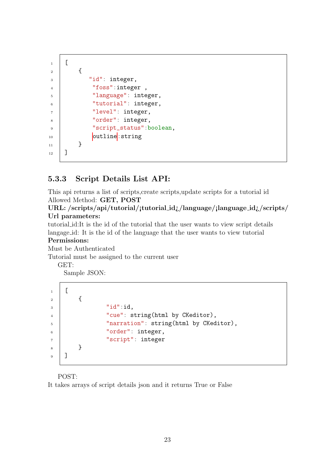```
1 \mid [
 \overline{2} {
 \overline{\phantom{a}} \overline{\phantom{a}} \overline{\phantom{a}} \overline{\phantom{a}} \overline{\phantom{a}} \overline{\phantom{a}} \overline{\phantom{a}} \overline{\phantom{a}} \overline{\phantom{a}} \overline{\phantom{a}} \overline{\phantom{a}} \overline{\phantom{a}} \overline{\phantom{a}} \overline{\phantom{a}} \overline{\phantom{a}} \overline{\phantom{a}} \overline{\phantom{a}} \overline{\phantom{a}} \overline{\4 | "foss":integer,
 5 "language": integer,
 6 Ututorial": integer,
 7 "level": integer,
 8 \vert "order": integer,
 9 | "script_status":boolean,
10 outline: string
\begin{array}{c|c}\n11 & \end{array} }
_{12} | ]
```
#### <span id="page-23-0"></span>5.3.3 Script Details List API:

This api returns a list of scripts,create scripts,update scripts for a tutorial id Allowed Method: GET, POST

URL: /scripts/api/tutorial/¡tutorial id¿/language/¡language id¿/scripts/ Url parameters:

tutorial id:It is the id of the tutorial that the user wants to view script details langage id: It is the id of the language that the user wants to view tutorial

#### Permissions:

Must be Authenticated

Tutorial must be assigned to the current user

GET:

Sample JSON:

```
1 \mid [
\overline{2} {
\overline{\phantom{a}} \overline{\phantom{a}} \overline{\phantom{a}} \overline{\phantom{a}} \overline{\phantom{a}} \overline{\phantom{a}} \overline{\phantom{a}} \overline{\phantom{a}} \overline{\phantom{a}} \overline{\phantom{a}} \overline{\phantom{a}} \overline{\phantom{a}} \overline{\phantom{a}} \overline{\phantom{a}} \overline{\phantom{a}} \overline{\phantom{a}} \overline{\phantom{a}} \overline{\phantom{a}} \overline{\4 "cue": string(html by CKeditor),
5 The String Contract of The Theorem Terminan Terminan in Terminan Terminal Inc. Terminan in Terminan in Terminan in Terminan in Terminan in Terminan in Terminan in Terminan in Terminan in Terminan in Terminan in Termina
6 \blacksquare "order": integer,
7 "script": integer
8 }
9 \mid 7
```
POST:

It takes arrays of script details json and it returns True or False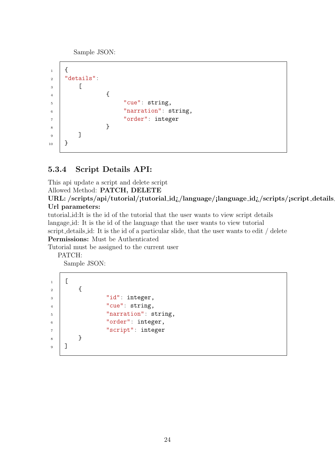Sample JSON:

```
_1 {
_2 | "details":
3 [
\begin{array}{c|c} 4 & \end{array}5 "cue": string,
6 \vert "narration": string,
7 "order": integer
8 }
\overline{9} ]
_{10} }
```
### <span id="page-24-0"></span>5.3.4 Script Details API:

This api update a script and delete script Allowed Method: PATCH, DELETE

URL: /scripts/api/tutorial/¡tutorial\_id $\chi$ /language/¡language\_id $\chi$ /scripts/¡script\_details Url parameters:

tutorial id:It is the id of the tutorial that the user wants to view script details langage id: It is the id of the language that the user wants to view tutorial script details id: It is the id of a particular slide, that the user wants to edit / delete Permissions: Must be Authenticated

Tutorial must be assigned to the current user

PATCH:

Sample JSON:

 $1$   $\Gamma$  $\overline{2}$  { 3 | "id": integer, 4 | "cue": string, 5 | "narration": string, 6  $\blacksquare$  "order": integer, <sup>7</sup> "script": integer 8 } 9 | ]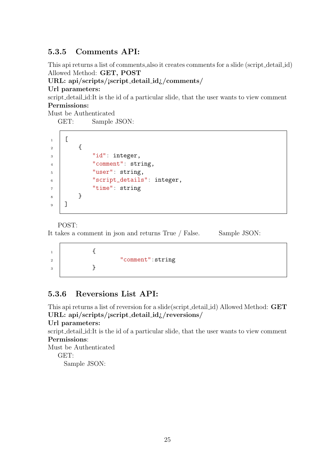### <span id="page-25-0"></span>5.3.5 Comments API:

This api returns a list of comments,also it creates comments for a slide (script detail id) Allowed Method: GET, POST

#### URL: api/scripts/¡script detail id¿/comments/

Url parameters:

 $\mathsf{r}$ 

script detail id:It is the id of a particular slide, that the user wants to view comment Permissions:

Must be Authenticated

GET: Sample JSON:

| $\mathbf{1}$   |  |                            |
|----------------|--|----------------------------|
| $\overline{2}$ |  |                            |
| 3              |  | "id": integer,             |
| 4              |  | "comment": string,         |
| 5              |  | "user": string,            |
| 6              |  | "script_details": integer, |
| 7              |  | "time": string             |
| 8              |  |                            |
| 9              |  |                            |
|                |  |                            |

POST:

It takes a comment in json and returns True / False. Sample JSON:

 $\begin{array}{c|c}\n1 & \cdots & \end{array}$ 2 | "comment":string 3 }

### <span id="page-25-1"></span>5.3.6 Reversions List API:

This api returns a list of reversion for a slide(script detail id) Allowed Method: GET URL: api/scripts/¡script detail id¿/reversions/

#### Url parameters:

script detail id:It is the id of a particular slide, that the user wants to view comment Permissions:

Must be Authenticated GET: Sample JSON: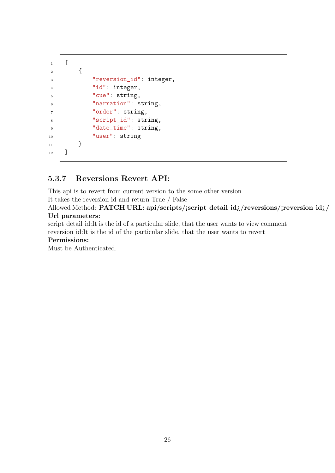```
1 [
\overline{2} {
3 Treversion_id": integer,
4 | "id": integer,
5 \t\t"cue": string,
6 | "narration": string,
<sup>7</sup> "order": string,
8 | "script_id": string,
9 | "date_time": string,
10 | "user": string
\begin{array}{c|c} 11 & 1 \end{array}_{12} ]
```
#### <span id="page-26-0"></span>5.3.7 Reversions Revert API:

This api is to revert from current version to the some other version

It takes the reversion id and return True / False

Allowed Method: PATCH URL: api/scripts/jscript\_detail\_id;/reversions/jreversion\_id;/ Url parameters:

script detail id:It is the id of a particular slide, that the user wants to view comment reversion id:It is the id of the particular slide, that the user wants to revert

#### Permissions:

Must be Authenticated.